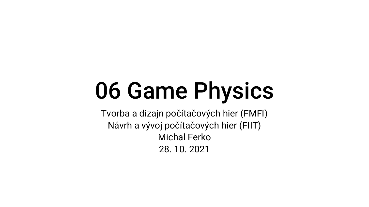# 06 Game Physics

Tvorba a dizajn počítačových hier (FMFI) Návrh a vývoj počítačových hier (FIIT) Michal Ferko 28. 10. 2021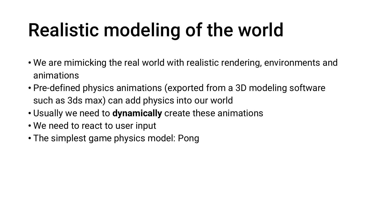## Realistic modeling of the world

- We are mimicking the real world with realistic rendering, environments and animations
- Pre-defined physics animations (exported from a 3D modeling software such as 3ds max) can add physics into our world
- Usually we need to **dynamically** create these animations
- We need to react to user input
- The simplest game physics model: Pong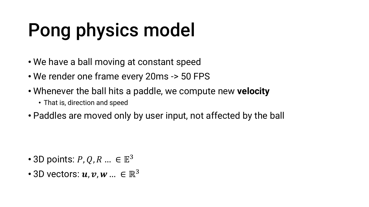# Pong physics model

- We have a ball moving at constant speed
- We render one frame every 20ms -> 50 FPS
- Whenever the ball hits a paddle, we compute new **velocity**
	- That is, direction and speed
- Paddles are moved only by user input, not affected by the ball

- 3D points:  $P, Q, R ... \in \mathbb{E}^3$
- 3D vectors:  $u, v, w ... \in \mathbb{R}^3$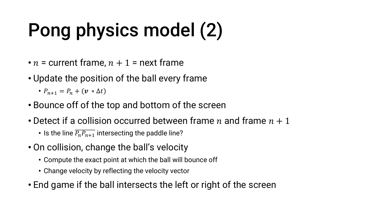# Pong physics model (2)

- $n =$  current frame,  $n + 1 =$  next frame
- Update the position of the ball every frame

•  $P_{n+1} = P_n + (v * \Delta t)$ 

- Bounce off of the top and bottom of the screen
- Detect if a collision occurred between frame  $n$  and frame  $n + 1$ 
	- Is the line  $\overline{P_n P_{n+1}}$  intersecting the paddle line?
- On collision, change the ball's velocity
	- Compute the exact point at which the ball will bounce off
	- Change velocity by reflecting the velocity vector
- End game if the ball intersects the left or right of the screen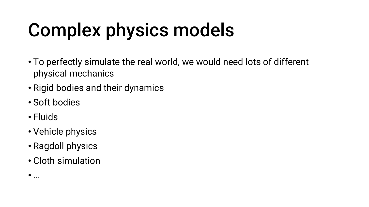## Complex physics models

- To perfectly simulate the real world, we would need lots of different physical mechanics
- Rigid bodies and their dynamics
- Soft bodies
- Fluids

 $\bullet$  …

- Vehicle physics
- Ragdoll physics
- Cloth simulation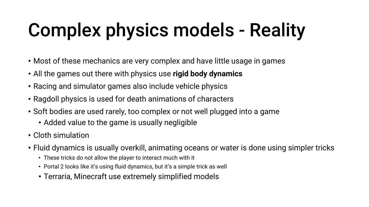# Complex physics models - Reality

- Most of these mechanics are very complex and have little usage in games
- All the games out there with physics use **rigid body dynamics**
- Racing and simulator games also include vehicle physics
- Ragdoll physics is used for death animations of characters
- Soft bodies are used rarely, too complex or not well plugged into a game
	- Added value to the game is usually negligible
- Cloth simulation
- Fluid dynamics is usually overkill, animating oceans or water is done using simpler tricks
	- These tricks do not allow the player to interact much with it
	- Portal 2 looks like it's using fluid dynamics, but it's a simple trick as well
	- Terraria, Minecraft use extremely simplified models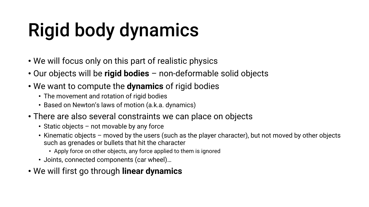# Rigid body dynamics

- We will focus only on this part of realistic physics
- Our objects will be **rigid bodies** non-deformable solid objects
- We want to compute the **dynamics** of rigid bodies
	- The movement and rotation of rigid bodies
	- Based on Newton's laws of motion (a.k.a. dynamics)
- There are also several constraints we can place on objects
	- Static objects not movable by any force
	- Kinematic objects moved by the users (such as the player character), but not moved by other objects such as grenades or bullets that hit the character
		- Apply force on other objects, any force applied to them is ignored
	- Joints, connected components (car wheel)…
- We will first go through **linear dynamics**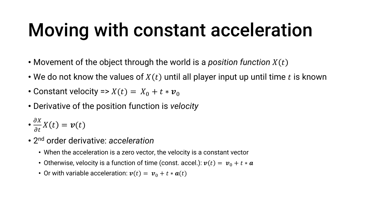#### Moving with constant acceleration

- Movement of the object through the world is a *position function*
- We do not know the values of  $X(t)$  until all player input up until time t is known
- Constant velocity =>  $X(t) = X_0 + t * v_0$
- Derivative of the position function is *velocity*
- $\cdot \frac{\partial X}{\partial t}$  $\partial t$  $X(t) = v(t)$
- 2 nd order derivative: *acceleration*
	- When the acceleration is a zero vector, the velocity is a constant vector
	- Otherwise, velocity is a function of time (const. accel.):  $v(t) = v_0 + t * a$
	- Or with variable acceleration:  $v(t) = v_0 + t * a(t)$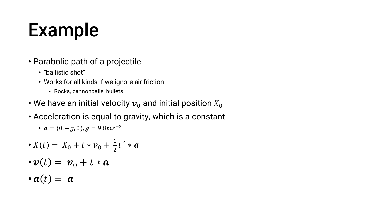#### Example

- Parabolic path of a projectile
	- "ballistic shot"
	- Works for all kinds if we ignore air friction
		- Rocks, cannonballs, bullets
- We have an initial velocity  $v<sub>0</sub>$  and initial position  $X<sub>0</sub>$
- Acceleration is equal to gravity, which is a constant

• 
$$
a = (0, -g, 0), g = 9.8ms^{-2}
$$

• 
$$
X(t) = X_0 + t * \nu_0 + \frac{1}{2}t^2 * a
$$

$$
\bullet \boldsymbol{v}(t) = \boldsymbol{v}_0 + t * \boldsymbol{a}
$$

$$
\bullet \mathbf{a}(t) = \mathbf{a}
$$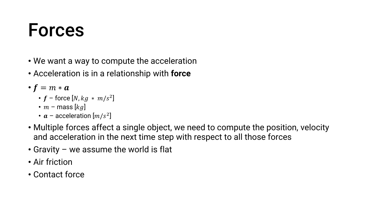#### Forces

- We want a way to compute the acceleration
- Acceleration is in a relationship with **force**

•  $f = m * a$ 

- $f$  force  $[N, kg ~*~ m/s^2]$
- $m$  mass  $[kg]$
- $a$  acceleration  $[m/s^2]$
- Multiple forces affect a single object, we need to compute the position, velocity and acceleration in the next time step with respect to all those forces
- Gravity we assume the world is flat
- Air friction
- Contact force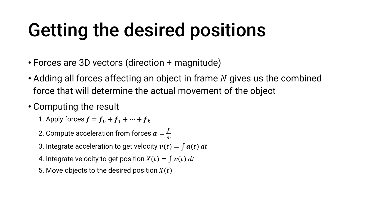### Getting the desired positions

- Forces are 3D vectors (direction + magnitude)
- Adding all forces affecting an object in frame  $N$  gives us the combined force that will determine the actual movement of the object
- Computing the result
	- 1. Apply forces  $f = f_0 + f_1 + \cdots + f_k$
	- 2. Compute acceleration from forces  $\boldsymbol{a}=\frac{f}{m}$  $\overline{m}$
	- 3. Integrate acceleration to get velocity  $v(t) = \int a(t) dt$
	- 4. Integrate velocity to get position  $X(t) = \int v(t) dt$
	- 5. Move objects to the desired position  $X(t)$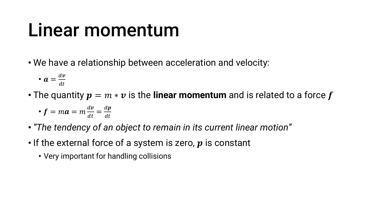#### Linear momentum

• We have a relationship between acceleration and velocity:

$$
\bullet \ \bm{a} = \frac{d\bm{v}}{dt}
$$

• The quantity  $p = m * v$  is the **linear momentum** and is related to a force f

• 
$$
f = ma = m \frac{dv}{dt} = \frac{dp}{dt}
$$

- *"The tendency of an object to remain in its current linear motion"*
- If the external force of a system is zero,  $p$  is constant
	- Very important for handling collisions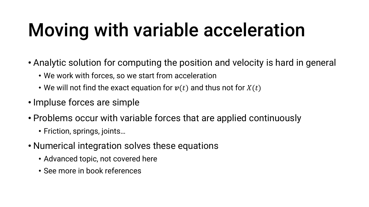### Moving with variable acceleration

- Analytic solution for computing the position and velocity is hard in general
	- We work with forces, so we start from acceleration
	- We will not find the exact equation for  $v(t)$  and thus not for  $X(t)$
- Impluse forces are simple
- Problems occur with variable forces that are applied continuously
	- Friction, springs, joints…
- Numerical integration solves these equations
	- Advanced topic, not covered here
	- See more in book references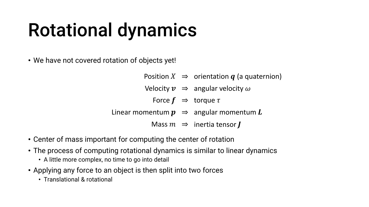#### Rotational dynamics

• We have not covered rotation of objects yet!

|  | Position $X \Rightarrow$ orientation $q$ (a quaternion)                        |
|--|--------------------------------------------------------------------------------|
|  | Velocity $v \Rightarrow$ angular velocity $\omega$                             |
|  | Force $f \Rightarrow$ torque $\tau$                                            |
|  | Linear momentum $\boldsymbol{p} \Rightarrow$ angular momentum $\boldsymbol{L}$ |
|  | Mass $m \Rightarrow$ inertia tensor $\boldsymbol{I}$                           |
|  |                                                                                |

- Center of mass important for computing the center of rotation
- The process of computing rotational dynamics is similar to linear dynamics
	- A little more complex, no time to go into detail
- Applying any force to an object is then split into two forces
	- Translational & rotational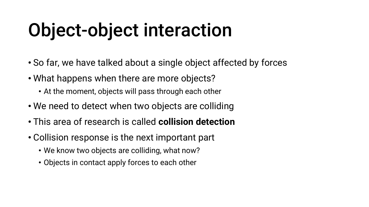#### Object-object interaction

- So far, we have talked about a single object affected by forces
- What happens when there are more objects?
	- At the moment, objects will pass through each other
- We need to detect when two objects are colliding
- This area of research is called **collision detection**
- Collision response is the next important part
	- We know two objects are colliding, what now?
	- Objects in contact apply forces to each other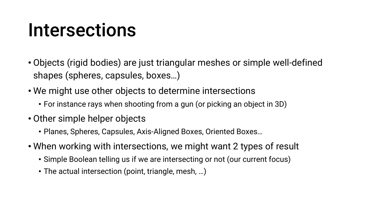#### Intersections

- Objects (rigid bodies) are just triangular meshes or simple well-defined shapes (spheres, capsules, boxes…)
- We might use other objects to determine intersections
	- For instance rays when shooting from a gun (or picking an object in 3D)
- Other simple helper objects
	- Planes, Spheres, Capsules, Axis-Aligned Boxes, Oriented Boxes…
- When working with intersections, we might want 2 types of result
	- Simple Boolean telling us if we are intersecting or not (our current focus)
	- The actual intersection (point, triangle, mesh, …)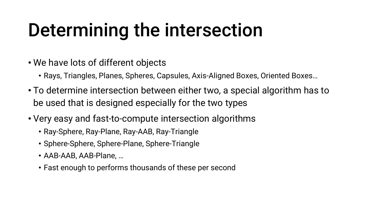#### Determining the intersection

- We have lots of different objects
	- Rays, Triangles, Planes, Spheres, Capsules, Axis-Aligned Boxes, Oriented Boxes…
- To determine intersection between either two, a special algorithm has to be used that is designed especially for the two types
- Very easy and fast-to-compute intersection algorithms
	- Ray-Sphere, Ray-Plane, Ray-AAB, Ray-Triangle
	- Sphere-Sphere, Sphere-Plane, Sphere-Triangle
	- AAB-AAB, AAB-Plane, …
	- Fast enough to performs thousands of these per second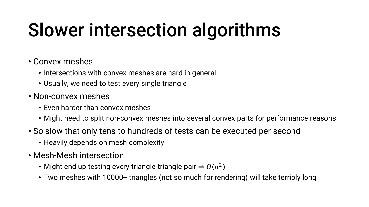### Slower intersection algorithms

#### • Convex meshes

- Intersections with convex meshes are hard in general
- Usually, we need to test every single triangle
- Non-convex meshes
	- Even harder than convex meshes
	- Might need to split non-convex meshes into several convex parts for performance reasons
- So slow that only tens to hundreds of tests can be executed per second
	- Heavily depends on mesh complexity
- Mesh-Mesh intersection
	- Might end up testing every triangle-triangle pair  $\Rightarrow$   $O(n^2)$
	- Two meshes with 10000+ triangles (not so much for rendering) will take terribly long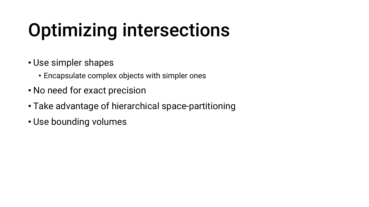## Optimizing intersections

- Use simpler shapes
	- Encapsulate complex objects with simpler ones
- No need for exact precision
- Take advantage of hierarchical space-partitioning
- Use bounding volumes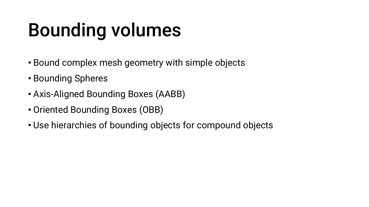#### Bounding volumes

- Bound complex mesh geometry with simple objects
- Bounding Spheres
- Axis-Aligned Bounding Boxes (AABB)
- Oriented Bounding Boxes (OBB)
- Use hierarchies of bounding objects for compound objects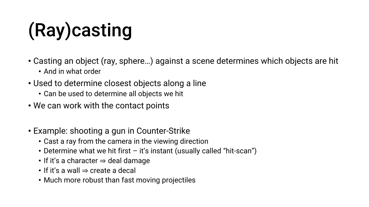# (Ray)casting

- Casting an object (ray, sphere…) against a scene determines which objects are hit
	- And in what order
- Used to determine closest objects along a line
	- Can be used to determine all objects we hit
- We can work with the contact points
- Example: shooting a gun in Counter-Strike
	- Cast a ray from the camera in the viewing direction
	- Determine what we hit first it's instant (usually called "hit-scan")
	- If it's a character ⇒ deal damage
	- If it's a wall  $\Rightarrow$  create a decal
	- Much more robust than fast moving projectiles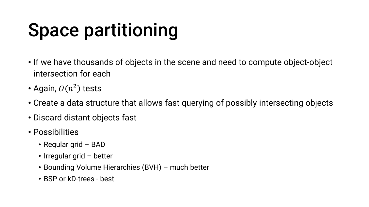## Space partitioning

- If we have thousands of objects in the scene and need to compute object-object intersection for each
- Again,  $O(n^2)$  tests
- Create a data structure that allows fast querying of possibly intersecting objects
- Discard distant objects fast
- Possibilities
	- Regular grid BAD
	- Irregular grid better
	- Bounding Volume Hierarchies (BVH) much better
	- BSP or kD-trees best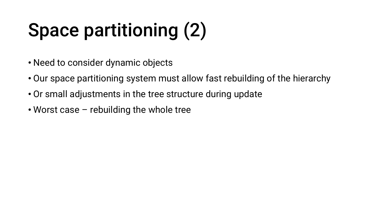# Space partitioning (2)

- Need to consider dynamic objects
- Our space partitioning system must allow fast rebuilding of the hierarchy
- Or small adjustments in the tree structure during update
- Worst case rebuilding the whole tree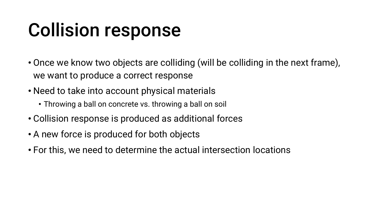#### Collision response

- Once we know two objects are colliding (will be colliding in the next frame), we want to produce a correct response
- Need to take into account physical materials
	- Throwing a ball on concrete vs. throwing a ball on soil
- Collision response is produced as additional forces
- A new force is produced for both objects
- For this, we need to determine the actual intersection locations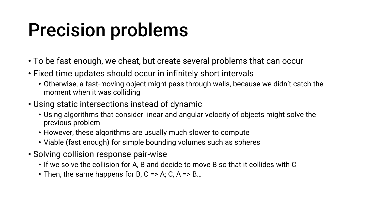#### Precision problems

- To be fast enough, we cheat, but create several problems that can occur
- Fixed time updates should occur in infinitely short intervals
	- Otherwise, a fast-moving object might pass through walls, because we didn't catch the moment when it was colliding
- Using static intersections instead of dynamic
	- Using algorithms that consider linear and angular velocity of objects might solve the previous problem
	- However, these algorithms are usually much slower to compute
	- Viable (fast enough) for simple bounding volumes such as spheres
- Solving collision response pair-wise
	- If we solve the collision for A, B and decide to move B so that it collides with C
	- Then, the same happens for B, C => A; C, A => B...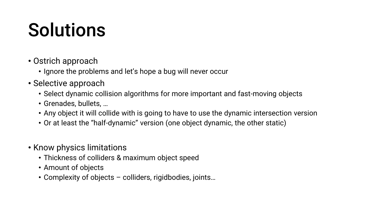#### Solutions

- Ostrich approach
	- Ignore the problems and let's hope a bug will never occur
- Selective approach
	- Select dynamic collision algorithms for more important and fast-moving objects
	- Grenades, bullets, …
	- Any object it will collide with is going to have to use the dynamic intersection version
	- Or at least the "half-dynamic" version (one object dynamic, the other static)
- Know physics limitations
	- Thickness of colliders & maximum object speed
	- Amount of objects
	- Complexity of objects colliders, rigidbodies, joints…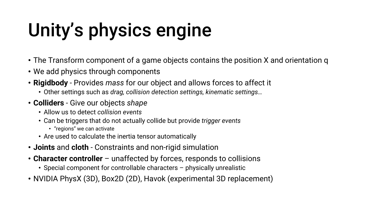# Unity's physics engine

- The Transform component of a game objects contains the position X and orientation q
- We add physics through components
- **Rigidbody** Provides *mass* for our object and allows forces to affect it
	- Other settings such as *drag, collision detection settings, kinematic settings…*
- **Colliders** Give our objects *shape*
	- Allow us to detect *collision events*
	- Can be triggers that do not actually collide but provide *trigger events*
		- "regions" we can activate
	- Are used to calculate the inertia tensor automatically
- **Joints** and **cloth** Constraints and non-rigid simulation
- **Character controller**  unaffected by forces, responds to collisions
	- Special component for controllable characters physically unrealistic
- NVIDIA PhysX (3D), Box2D (2D), Havok (experimental 3D replacement)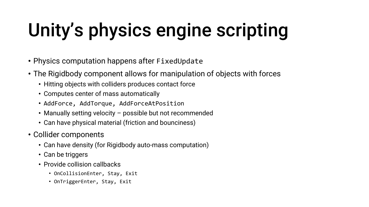# Unity's physics engine scripting

- Physics computation happens after FixedUpdate
- The Rigidbody component allows for manipulation of objects with forces
	- Hitting objects with colliders produces contact force
	- Computes center of mass automatically
	- AddForce, AddTorque, AddForceAtPosition
	- Manually setting velocity possible but not recommended
	- Can have physical material (friction and bounciness)
- Collider components
	- Can have density (for Rigidbody auto-mass computation)
	- Can be triggers
	- Provide collision callbacks
		- OnCollisionEnter, Stay, Exit
		- OnTriggerEnter, Stay, Exit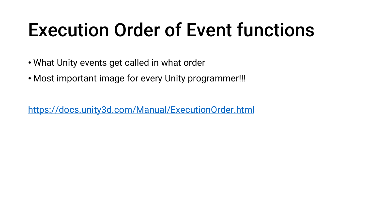#### Execution Order of Event functions

- What Unity events get called in what order
- Most important image for every Unity programmer!!!

<https://docs.unity3d.com/Manual/ExecutionOrder.html>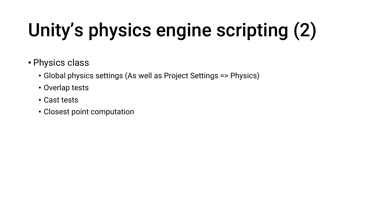# Unity's physics engine scripting (2)

- Physics class
	- Global physics settings (As well as Project Settings => Physics)
	- Overlap tests
	- Cast tests
	- Closest point computation